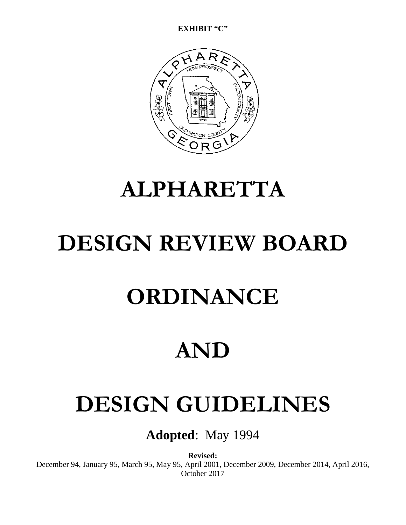**EXHIBIT "C"**

### **ALPHARETTA**

## **DESIGN REVIEW BOARD**

## **ORDINANCE**

### **AND**

# **DESIGN GUIDELINES**

**Adopted**: May 1994

**Revised:** December 94, January 95, March 95, May 95, April 2001, December 2009, December 2014, April 2016, October 2017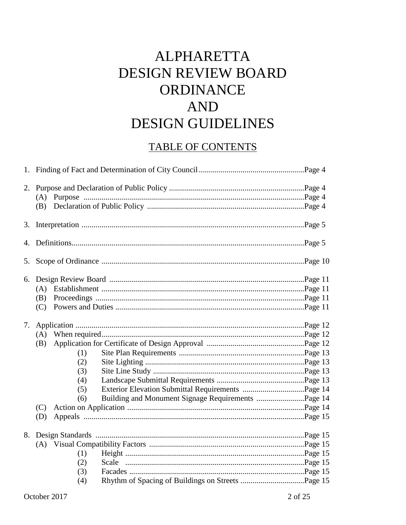### **ALPHARETTA** DESIGN REVIEW BOARD ORDINANCE AND **DESIGN GUIDELINES**

### **TABLE OF CONTENTS**

|    | (A) |  |  |  |  |  |
|----|-----|--|--|--|--|--|
|    |     |  |  |  |  |  |
|    |     |  |  |  |  |  |
|    |     |  |  |  |  |  |
|    |     |  |  |  |  |  |
|    |     |  |  |  |  |  |
|    | (A) |  |  |  |  |  |
|    | (B) |  |  |  |  |  |
|    |     |  |  |  |  |  |
| 7. |     |  |  |  |  |  |
|    | (A) |  |  |  |  |  |
|    | (B) |  |  |  |  |  |
|    | (1) |  |  |  |  |  |
|    | (2) |  |  |  |  |  |
|    | (3) |  |  |  |  |  |
|    | (4) |  |  |  |  |  |
|    | (5) |  |  |  |  |  |
|    | (6) |  |  |  |  |  |
|    |     |  |  |  |  |  |
|    | (D) |  |  |  |  |  |
|    |     |  |  |  |  |  |
|    |     |  |  |  |  |  |
|    | (1) |  |  |  |  |  |
|    | (2) |  |  |  |  |  |
|    | (3) |  |  |  |  |  |
|    | (4) |  |  |  |  |  |
|    |     |  |  |  |  |  |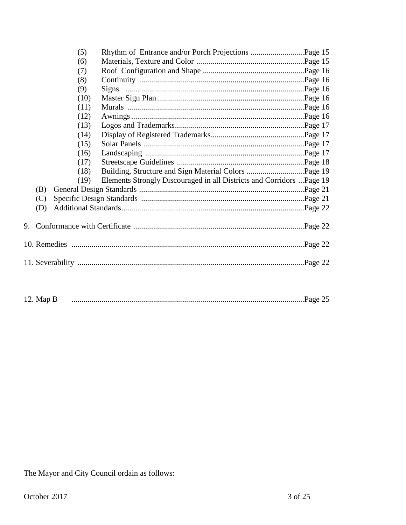|    |     | (5)  |                                                                       |  |  |  |
|----|-----|------|-----------------------------------------------------------------------|--|--|--|
|    |     | (6)  |                                                                       |  |  |  |
|    |     | (7)  |                                                                       |  |  |  |
|    |     | (8)  |                                                                       |  |  |  |
|    |     | (9)  |                                                                       |  |  |  |
|    |     | (10) |                                                                       |  |  |  |
|    |     | (11) |                                                                       |  |  |  |
|    |     | (12) |                                                                       |  |  |  |
|    |     | (13) |                                                                       |  |  |  |
|    |     | (14) |                                                                       |  |  |  |
|    |     | (15) |                                                                       |  |  |  |
|    |     | (16) |                                                                       |  |  |  |
|    |     | (17) |                                                                       |  |  |  |
|    |     | (18) |                                                                       |  |  |  |
|    |     | (19) | Elements Strongly Discouraged in all Districts and Corridors  Page 19 |  |  |  |
|    | (B) |      |                                                                       |  |  |  |
|    | (C) |      |                                                                       |  |  |  |
|    | (D) |      |                                                                       |  |  |  |
|    |     |      |                                                                       |  |  |  |
| 9. |     |      |                                                                       |  |  |  |
|    |     |      |                                                                       |  |  |  |
|    |     |      |                                                                       |  |  |  |
|    |     |      |                                                                       |  |  |  |
|    |     |      |                                                                       |  |  |  |
|    |     |      |                                                                       |  |  |  |
|    |     |      |                                                                       |  |  |  |

12. Map B

The Mayor and City Council ordain as follows: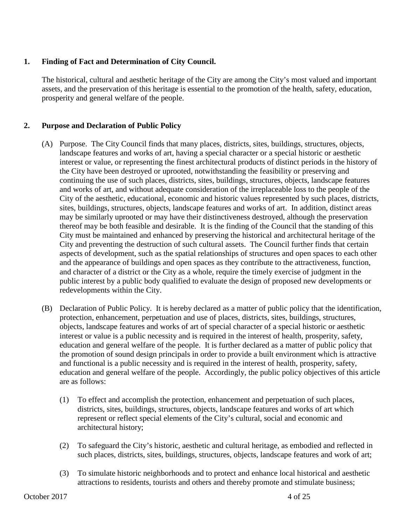#### **1. Finding of Fact and Determination of City Council.**

The historical, cultural and aesthetic heritage of the City are among the City's most valued and important assets, and the preservation of this heritage is essential to the promotion of the health, safety, education, prosperity and general welfare of the people.

#### **2. Purpose and Declaration of Public Policy**

- (A) Purpose. The City Council finds that many places, districts, sites, buildings, structures, objects, landscape features and works of art, having a special character or a special historic or aesthetic interest or value, or representing the finest architectural products of distinct periods in the history of the City have been destroyed or uprooted, notwithstanding the feasibility or preserving and continuing the use of such places, districts, sites, buildings, structures, objects, landscape features and works of art, and without adequate consideration of the irreplaceable loss to the people of the City of the aesthetic, educational, economic and historic values represented by such places, districts, sites, buildings, structures, objects, landscape features and works of art. In addition, distinct areas may be similarly uprooted or may have their distinctiveness destroyed, although the preservation thereof may be both feasible and desirable. It is the finding of the Council that the standing of this City must be maintained and enhanced by preserving the historical and architectural heritage of the City and preventing the destruction of such cultural assets. The Council further finds that certain aspects of development, such as the spatial relationships of structures and open spaces to each other and the appearance of buildings and open spaces as they contribute to the attractiveness, function, and character of a district or the City as a whole, require the timely exercise of judgment in the public interest by a public body qualified to evaluate the design of proposed new developments or redevelopments within the City.
- (B) Declaration of Public Policy. It is hereby declared as a matter of public policy that the identification, protection, enhancement, perpetuation and use of places, districts, sites, buildings, structures, objects, landscape features and works of art of special character of a special historic or aesthetic interest or value is a public necessity and is required in the interest of health, prosperity, safety, education and general welfare of the people. It is further declared as a matter of public policy that the promotion of sound design principals in order to provide a built environment which is attractive and functional is a public necessity and is required in the interest of health, prosperity, safety, education and general welfare of the people. Accordingly, the public policy objectives of this article are as follows:
	- (1) To effect and accomplish the protection, enhancement and perpetuation of such places, districts, sites, buildings, structures, objects, landscape features and works of art which represent or reflect special elements of the City's cultural, social and economic and architectural history;
	- (2) To safeguard the City's historic, aesthetic and cultural heritage, as embodied and reflected in such places, districts, sites, buildings, structures, objects, landscape features and work of art;
	- (3) To simulate historic neighborhoods and to protect and enhance local historical and aesthetic attractions to residents, tourists and others and thereby promote and stimulate business;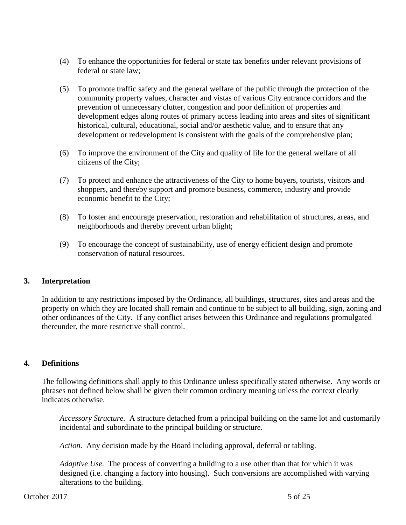- (4) To enhance the opportunities for federal or state tax benefits under relevant provisions of federal or state law;
- (5) To promote traffic safety and the general welfare of the public through the protection of the community property values, character and vistas of various City entrance corridors and the prevention of unnecessary clutter, congestion and poor definition of properties and development edges along routes of primary access leading into areas and sites of significant historical, cultural, educational, social and/or aesthetic value, and to ensure that any development or redevelopment is consistent with the goals of the comprehensive plan;
- (6) To improve the environment of the City and quality of life for the general welfare of all citizens of the City;
- (7) To protect and enhance the attractiveness of the City to home buyers, tourists, visitors and shoppers, and thereby support and promote business, commerce, industry and provide economic benefit to the City;
- (8) To foster and encourage preservation, restoration and rehabilitation of structures, areas, and neighborhoods and thereby prevent urban blight;
- (9) To encourage the concept of sustainability, use of energy efficient design and promote conservation of natural resources.

#### **3. Interpretation**

In addition to any restrictions imposed by the Ordinance, all buildings, structures, sites and areas and the property on which they are located shall remain and continue to be subject to all building, sign, zoning and other ordinances of the City. If any conflict arises between this Ordinance and regulations promulgated thereunder, the more restrictive shall control.

#### **4. Definitions**

The following definitions shall apply to this Ordinance unless specifically stated otherwise. Any words or phrases not defined below shall be given their common ordinary meaning unless the context clearly indicates otherwise.

*Accessory Structure.* A structure detached from a principal building on the same lot and customarily incidental and subordinate to the principal building or structure.

*Action.* Any decision made by the Board including approval, deferral or tabling.

*Adaptive Use.* The process of converting a building to a use other than that for which it was designed (i.e. changing a factory into housing). Such conversions are accomplished with varying alterations to the building.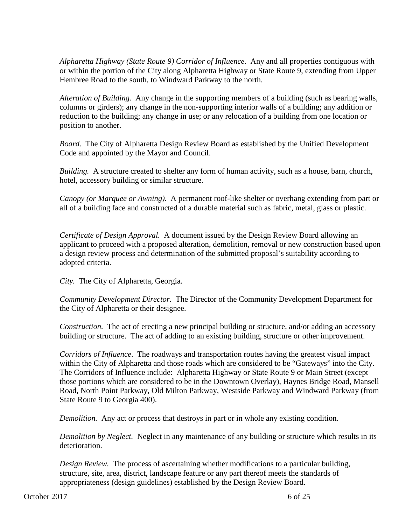*Alpharetta Highway (State Route 9) Corridor of Influence.* Any and all properties contiguous with or within the portion of the City along Alpharetta Highway or State Route 9, extending from Upper Hembree Road to the south, to Windward Parkway to the north.

*Alteration of Building.* Any change in the supporting members of a building (such as bearing walls, columns or girders); any change in the non-supporting interior walls of a building; any addition or reduction to the building; any change in use; or any relocation of a building from one location or position to another.

*Board.* The City of Alpharetta Design Review Board as established by the Unified Development Code and appointed by the Mayor and Council.

*Building.* A structure created to shelter any form of human activity, such as a house, barn, church, hotel, accessory building or similar structure.

*Canopy (or Marquee or Awning).* A permanent roof-like shelter or overhang extending from part or all of a building face and constructed of a durable material such as fabric, metal, glass or plastic.

*Certificate of Design Approval.* A document issued by the Design Review Board allowing an applicant to proceed with a proposed alteration, demolition, removal or new construction based upon a design review process and determination of the submitted proposal's suitability according to adopted criteria.

*City.* The City of Alpharetta, Georgia.

*Community Development Director.* The Director of the Community Development Department for the City of Alpharetta or their designee.

*Construction.* The act of erecting a new principal building or structure, and/or adding an accessory building or structure. The act of adding to an existing building, structure or other improvement.

*Corridors of Influence*. The roadways and transportation routes having the greatest visual impact within the City of Alpharetta and those roads which are considered to be "Gateways" into the City. The Corridors of Influence include: Alpharetta Highway or State Route 9 or Main Street (except those portions which are considered to be in the Downtown Overlay), Haynes Bridge Road, Mansell Road, North Point Parkway, Old Milton Parkway, Westside Parkway and Windward Parkway (from State Route 9 to Georgia 400).

*Demolition.* Any act or process that destroys in part or in whole any existing condition.

*Demolition by Neglect.* Neglect in any maintenance of any building or structure which results in its deterioration.

*Design Review.* The process of ascertaining whether modifications to a particular building, structure, site, area, district, landscape feature or any part thereof meets the standards of appropriateness (design guidelines) established by the Design Review Board.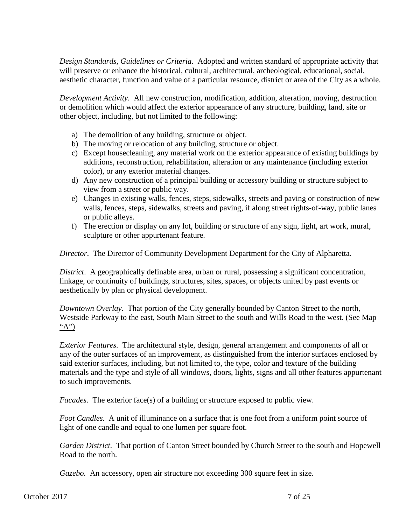*Design Standards, Guidelines or Criteria*. Adopted and written standard of appropriate activity that will preserve or enhance the historical, cultural, architectural, archeological, educational, social, aesthetic character, function and value of a particular resource, district or area of the City as a whole.

*Development Activity*. All new construction, modification, addition, alteration, moving, destruction or demolition which would affect the exterior appearance of any structure, building, land, site or other object, including, but not limited to the following:

- a) The demolition of any building, structure or object.
- b) The moving or relocation of any building, structure or object.
- c) Except housecleaning, any material work on the exterior appearance of existing buildings by additions, reconstruction, rehabilitation, alteration or any maintenance (including exterior color), or any exterior material changes.
- d) Any new construction of a principal building or accessory building or structure subject to view from a street or public way.
- e) Changes in existing walls, fences, steps, sidewalks, streets and paving or construction of new walls, fences, steps, sidewalks, streets and paving, if along street rights-of-way, public lanes or public alleys.
- f) The erection or display on any lot, building or structure of any sign, light, art work, mural, sculpture or other appurtenant feature.

*Director*. The Director of Community Development Department for the City of Alpharetta.

*District*. A geographically definable area, urban or rural, possessing a significant concentration, linkage, or continuity of buildings, structures, sites, spaces, or objects united by past events or aesthetically by plan or physical development.

*Downtown Overlay.* That portion of the City generally bounded by Canton Street to the north, Westside Parkway to the east, South Main Street to the south and Wills Road to the west. (See Map "A")

*Exterior Features.* The architectural style, design, general arrangement and components of all or any of the outer surfaces of an improvement, as distinguished from the interior surfaces enclosed by said exterior surfaces, including, but not limited to, the type, color and texture of the building materials and the type and style of all windows, doors, lights, signs and all other features appurtenant to such improvements.

*Facades.* The exterior face(s) of a building or structure exposed to public view.

*Foot Candles.* A unit of illuminance on a surface that is one foot from a uniform point source of light of one candle and equal to one lumen per square foot.

*Garden District.* That portion of Canton Street bounded by Church Street to the south and Hopewell Road to the north.

*Gazebo.* An accessory, open air structure not exceeding 300 square feet in size.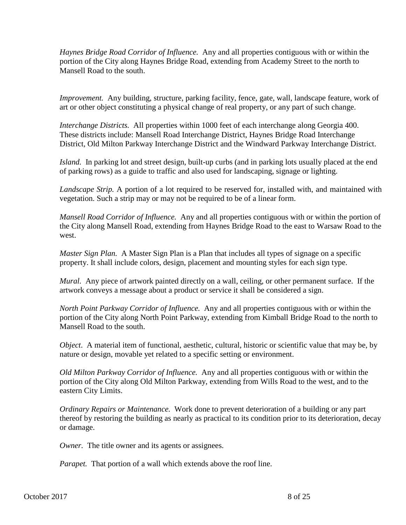*Haynes Bridge Road Corridor of Influence.* Any and all properties contiguous with or within the portion of the City along Haynes Bridge Road, extending from Academy Street to the north to Mansell Road to the south.

*Improvement.* Any building, structure, parking facility, fence, gate, wall, landscape feature, work of art or other object constituting a physical change of real property, or any part of such change.

*Interchange Districts.* All properties within 1000 feet of each interchange along Georgia 400. These districts include: Mansell Road Interchange District, Haynes Bridge Road Interchange District, Old Milton Parkway Interchange District and the Windward Parkway Interchange District.

*Island.* In parking lot and street design, built-up curbs (and in parking lots usually placed at the end of parking rows) as a guide to traffic and also used for landscaping, signage or lighting.

*Landscape Strip.* A portion of a lot required to be reserved for, installed with, and maintained with vegetation. Such a strip may or may not be required to be of a linear form.

*Mansell Road Corridor of Influence.* Any and all properties contiguous with or within the portion of the City along Mansell Road, extending from Haynes Bridge Road to the east to Warsaw Road to the west.

*Master Sign Plan.* A Master Sign Plan is a Plan that includes all types of signage on a specific property. It shall include colors, design, placement and mounting styles for each sign type.

*Mural.* Any piece of artwork painted directly on a wall, ceiling, or other permanent surface. If the artwork conveys a message about a product or service it shall be considered a sign.

*North Point Parkway Corridor of Influence.* Any and all properties contiguous with or within the portion of the City along North Point Parkway, extending from Kimball Bridge Road to the north to Mansell Road to the south.

*Object*. A material item of functional, aesthetic, cultural, historic or scientific value that may be, by nature or design, movable yet related to a specific setting or environment.

*Old Milton Parkway Corridor of Influence.* Any and all properties contiguous with or within the portion of the City along Old Milton Parkway, extending from Wills Road to the west, and to the eastern City Limits.

*Ordinary Repairs or Maintenance.* Work done to prevent deterioration of a building or any part thereof by restoring the building as nearly as practical to its condition prior to its deterioration, decay or damage.

*Owner.* The title owner and its agents or assignees.

*Parapet.* That portion of a wall which extends above the roof line.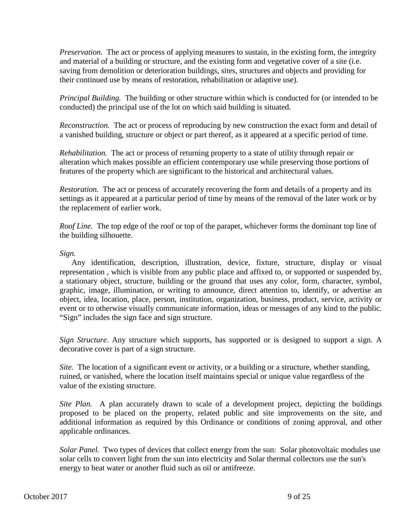*Preservation.* The act or process of applying measures to sustain, in the existing form, the integrity and material of a building or structure, and the existing form and vegetative cover of a site (i.e. saving from demolition or deterioration buildings, sites, structures and objects and providing for their continued use by means of restoration, rehabilitation or adaptive use).

*Principal Building.* The building or other structure within which is conducted for (or intended to be conducted) the principal use of the lot on which said building is situated.

*Reconstruction.* The act or process of reproducing by new construction the exact form and detail of a vanished building, structure or object or part thereof, as it appeared at a specific period of time.

*Rehabilitation.* The act or process of returning property to a state of utility through repair or alteration which makes possible an efficient contemporary use while preserving those portions of features of the property which are significant to the historical and architectural values.

*Restoration.* The act or process of accurately recovering the form and details of a property and its settings as it appeared at a particular period of time by means of the removal of the later work or by the replacement of earlier work.

*Roof Line.* The top edge of the roof or top of the parapet, whichever forms the dominant top line of the building silhouette.

*Sign.*

Any identification, description, illustration, device, fixture, structure, display or visual representation , which is visible from any public place and affixed to, or supported or suspended by, a stationary object, structure, building or the ground that uses any color, form, character, symbol, graphic, image, illumination, or writing to announce, direct attention to, identify, or advertise an object, idea, location, place, person, institution, organization, business, product, service, activity or event or to otherwise visually communicate information, ideas or messages of any kind to the public. "Sign" includes the sign face and sign structure.

*Sign Structure*. Any structure which supports, has supported or is designed to support a sign. A decorative cover is part of a sign structure.

*Site.* The location of a significant event or activity, or a building or a structure, whether standing, ruined, or vanished, where the location itself maintains special or unique value regardless of the value of the existing structure.

*Site Plan.* A plan accurately drawn to scale of a development project, depicting the buildings proposed to be placed on the property, related public and site improvements on the site, and additional information as required by this Ordinance or conditions of zoning approval, and other applicable ordinances.

*Solar Panel.* Two types of devices that collect energy from the sun: Solar photovoltaic modules use solar cells to convert light from the sun into electricity and Solar thermal collectors use the sun's energy to heat water or another fluid such as oil or antifreeze.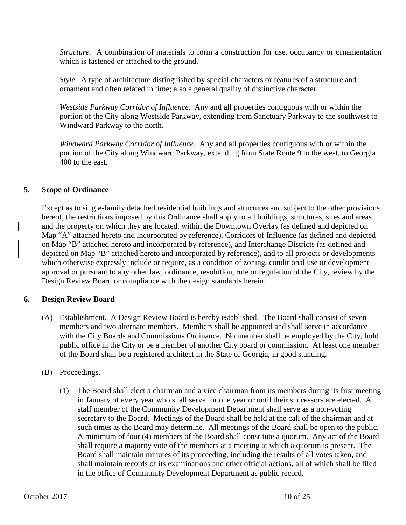*Structure.* A combination of materials to form a construction for use, occupancy or ornamentation which is fastened or attached to the ground.

*Style.* A type of architecture distinguished by special characters or features of a structure and ornament and often related in time; also a general quality of distinctive character.

*Westside Parkway Corridor of Influence.* Any and all properties contiguous with or within the portion of the City along Westside Parkway, extending from Sanctuary Parkway to the southwest to Windward Parkway to the north.

*Windward Parkway Corridor of Influence.* Any and all properties contiguous with or within the portion of the City along Windward Parkway, extending from State Route 9 to the west, to Georgia 400 to the east.

#### **5. Scope of Ordinance**

Except as to single-family detached residential buildings and structures and subject to the other provisions hereof, the restrictions imposed by this Ordinance shall apply to all buildings, structures, sites and areas and the property on which they are located-within the Downtown Overlay (as defined and depicted on Map "A" attached hereto and incorporated by reference), Corridors of Influence (as defined and depicted on Map "B" attached hereto and incorporated by reference), and Interchange Districts (as defined and depicted on Map "B" attached hereto and incorporated by reference), and to all projects or developments which otherwise expressly include or require, as a condition of zoning, conditional use or development approval or pursuant to any other law, ordinance, resolution, rule or regulation of the City, review by the Design Review Board or compliance with the design standards herein.

#### **6. Design Review Board**

(A) Establishment. A Design Review Board is hereby established. The Board shall consist of seven members and two alternate members. Members shall be appointed and shall serve in accordance with the City Boards and Commissions Ordinance. No member shall be employed by the City, hold public office in the City or be a member of another City board or commission. At least one member of the Board shall be a registered architect in the State of Georgia, in good standing.

#### (B) Proceedings.

(1) The Board shall elect a chairman and a vice chairman from its members during its first meeting in January of every year who shall serve for one year or until their successors are elected. A staff member of the Community Development Department shall serve as a non-voting secretary to the Board. Meetings of the Board shall be held at the call of the chairman and at such times as the Board may determine. All meetings of the Board shall be open to the public. A minimum of four (4) members of the Board shall constitute a quorum. Any act of the Board shall require a majority vote of the members at a meeting at which a quorum is present. The Board shall maintain minutes of its proceeding, including the results of all votes taken, and shall maintain records of its examinations and other official actions, all of which shall be filed in the office of Community Development Department as public record.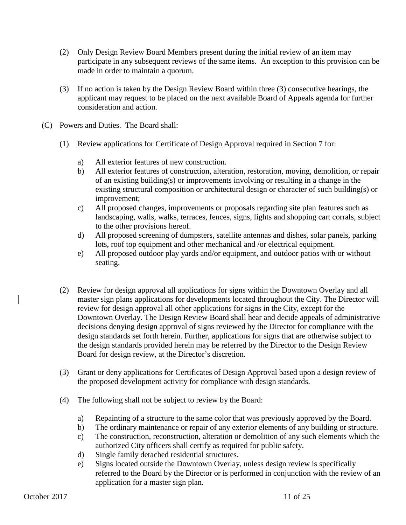- (2) Only Design Review Board Members present during the initial review of an item may participate in any subsequent reviews of the same items. An exception to this provision can be made in order to maintain a quorum.
- (3) If no action is taken by the Design Review Board within three (3) consecutive hearings, the applicant may request to be placed on the next available Board of Appeals agenda for further consideration and action.
- (C) Powers and Duties. The Board shall:
	- (1) Review applications for Certificate of Design Approval required in Section 7 for:
		- a) All exterior features of new construction.
		- b) All exterior features of construction, alteration, restoration, moving, demolition, or repair of an existing building(s) or improvements involving or resulting in a change in the existing structural composition or architectural design or character of such building(s) or improvement;
		- c) All proposed changes, improvements or proposals regarding site plan features such as landscaping, walls, walks, terraces, fences, signs, lights and shopping cart corrals, subject to the other provisions hereof.
		- d) All proposed screening of dumpsters, satellite antennas and dishes, solar panels, parking lots, roof top equipment and other mechanical and /or electrical equipment.
		- e) All proposed outdoor play yards and/or equipment, and outdoor patios with or without seating.
	- (2) Review for design approval all applications for signs within the Downtown Overlay and all master sign plans applications for developments located throughout the City. The Director will review for design approval all other applications for signs in the City, except for the Downtown Overlay. The Design Review Board shall hear and decide appeals of administrative decisions denying design approval of signs reviewed by the Director for compliance with the design standards set forth herein. Further, applications for signs that are otherwise subject to the design standards provided herein may be referred by the Director to the Design Review Board for design review, at the Director's discretion.
	- (3) Grant or deny applications for Certificates of Design Approval based upon a design review of the proposed development activity for compliance with design standards.
	- (4) The following shall not be subject to review by the Board:
		- a) Repainting of a structure to the same color that was previously approved by the Board.
		- b) The ordinary maintenance or repair of any exterior elements of any building or structure.
		- c) The construction, reconstruction, alteration or demolition of any such elements which the authorized City officers shall certify as required for public safety.
		- d) Single family detached residential structures.
		- e) Signs located outside the Downtown Overlay, unless design review is specifically referred to the Board by the Director or is performed in conjunction with the review of an application for a master sign plan.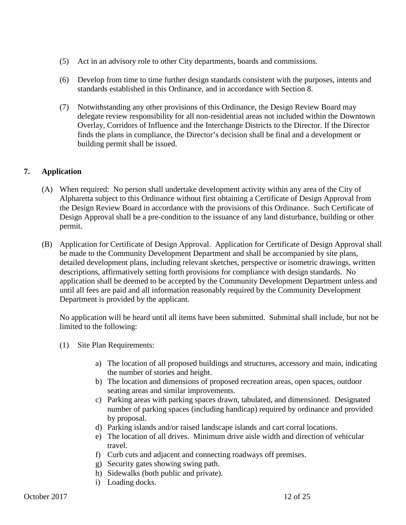- (5) Act in an advisory role to other City departments, boards and commissions.
- (6) Develop from time to time further design standards consistent with the purposes, intents and standards established in this Ordinance, and in accordance with Section 8.
- (7) Notwithstanding any other provisions of this Ordinance, the Design Review Board may delegate review responsibility for all non-residential areas not included within the Downtown Overlay, Corridors of Influence and the Interchange Districts to the Director. If the Director finds the plans in compliance, the Director's decision shall be final and a development or building permit shall be issued.

#### **7. Application**

- (A) When required: No person shall undertake development activity within any area of the City of Alpharetta subject to this Ordinance without first obtaining a Certificate of Design Approval from the Design Review Board in accordance with the provisions of this Ordinance. Such Certificate of Design Approval shall be a pre-condition to the issuance of any land disturbance, building or other permit.
- (B) Application for Certificate of Design Approval. Application for Certificate of Design Approval shall be made to the Community Development Department and shall be accompanied by site plans, detailed development plans, including relevant sketches, perspective or isometric drawings, written descriptions, affirmatively setting forth provisions for compliance with design standards. No application shall be deemed to be accepted by the Community Development Department unless and until all fees are paid and all information reasonably required by the Community Development Department is provided by the applicant.

No application will be heard until all items have been submitted. Submittal shall include, but not be limited to the following:

- (1) Site Plan Requirements:
	- a) The location of all proposed buildings and structures, accessory and main, indicating the number of stories and height.
	- b) The location and dimensions of proposed recreation areas, open spaces, outdoor seating areas and similar improvements.
	- c) Parking areas with parking spaces drawn, tabulated, and dimensioned. Designated number of parking spaces (including handicap) required by ordinance and provided by proposal.
	- d) Parking islands and/or raised landscape islands and cart corral locations.
	- e) The location of all drives. Minimum drive aisle width and direction of vehicular travel.
	- f) Curb cuts and adjacent and connecting roadways off premises.
	- g) Security gates showing swing path.
	- h) Sidewalks (both public and private).
	- i) Loading docks.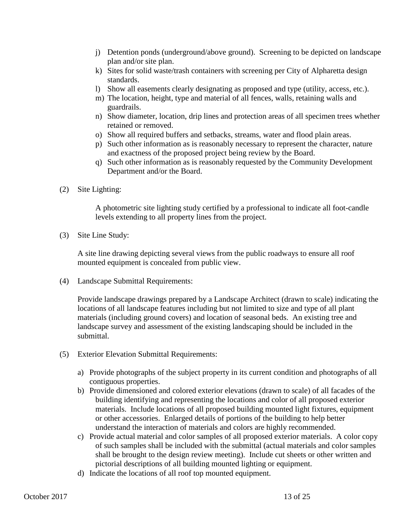- j) Detention ponds (underground/above ground). Screening to be depicted on landscape plan and/or site plan.
- k) Sites for solid waste/trash containers with screening per City of Alpharetta design standards.
- l) Show all easements clearly designating as proposed and type (utility, access, etc.).
- m) The location, height, type and material of all fences, walls, retaining walls and guardrails.
- n) Show diameter, location, drip lines and protection areas of all specimen trees whether retained or removed.
- o) Show all required buffers and setbacks, streams, water and flood plain areas.
- p) Such other information as is reasonably necessary to represent the character, nature and exactness of the proposed project being review by the Board.
- q) Such other information as is reasonably requested by the Community Development Department and/or the Board.
- (2) Site Lighting:

A photometric site lighting study certified by a professional to indicate all foot-candle levels extending to all property lines from the project.

(3) Site Line Study:

A site line drawing depicting several views from the public roadways to ensure all roof mounted equipment is concealed from public view.

(4) Landscape Submittal Requirements:

Provide landscape drawings prepared by a Landscape Architect (drawn to scale) indicating the locations of all landscape features including but not limited to size and type of all plant materials (including ground covers) and location of seasonal beds. An existing tree and landscape survey and assessment of the existing landscaping should be included in the submittal.

- (5) Exterior Elevation Submittal Requirements:
	- a) Provide photographs of the subject property in its current condition and photographs of all contiguous properties.
	- b) Provide dimensioned and colored exterior elevations (drawn to scale) of all facades of the building identifying and representing the locations and color of all proposed exterior materials. Include locations of all proposed building mounted light fixtures, equipment or other accessories. Enlarged details of portions of the building to help better understand the interaction of materials and colors are highly recommended.
	- c) Provide actual material and color samples of all proposed exterior materials. A color copy of such samples shall be included with the submittal (actual materials and color samples shall be brought to the design review meeting). Include cut sheets or other written and pictorial descriptions of all building mounted lighting or equipment.
	- d) Indicate the locations of all roof top mounted equipment.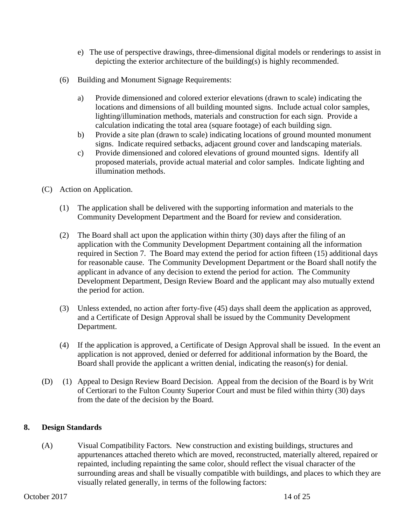- e) The use of perspective drawings, three-dimensional digital models or renderings to assist in depicting the exterior architecture of the building(s) is highly recommended.
- (6) Building and Monument Signage Requirements:
	- a) Provide dimensioned and colored exterior elevations (drawn to scale) indicating the locations and dimensions of all building mounted signs. Include actual color samples, lighting/illumination methods, materials and construction for each sign. Provide a calculation indicating the total area (square footage) of each building sign.
	- b) Provide a site plan (drawn to scale) indicating locations of ground mounted monument signs. Indicate required setbacks, adjacent ground cover and landscaping materials.
	- c) Provide dimensioned and colored elevations of ground mounted signs. Identify all proposed materials, provide actual material and color samples. Indicate lighting and illumination methods.
- (C) Action on Application.
	- (1) The application shall be delivered with the supporting information and materials to the Community Development Department and the Board for review and consideration.
	- (2) The Board shall act upon the application within thirty (30) days after the filing of an application with the Community Development Department containing all the information required in Section 7. The Board may extend the period for action fifteen (15) additional days for reasonable cause. The Community Development Department or the Board shall notify the applicant in advance of any decision to extend the period for action. The Community Development Department, Design Review Board and the applicant may also mutually extend the period for action.
	- (3) Unless extended, no action after forty-five (45) days shall deem the application as approved, and a Certificate of Design Approval shall be issued by the Community Development Department.
	- (4) If the application is approved, a Certificate of Design Approval shall be issued. In the event an application is not approved, denied or deferred for additional information by the Board, the Board shall provide the applicant a written denial, indicating the reason(s) for denial.
- (D) (1) Appeal to Design Review Board Decision. Appeal from the decision of the Board is by Writ of Certiorari to the Fulton County Superior Court and must be filed within thirty (30) days from the date of the decision by the Board.

#### **8. Design Standards**

(A) Visual Compatibility Factors. New construction and existing buildings, structures and appurtenances attached thereto which are moved, reconstructed, materially altered, repaired or repainted, including repainting the same color, should reflect the visual character of the surrounding areas and shall be visually compatible with buildings, and places to which they are visually related generally, in terms of the following factors: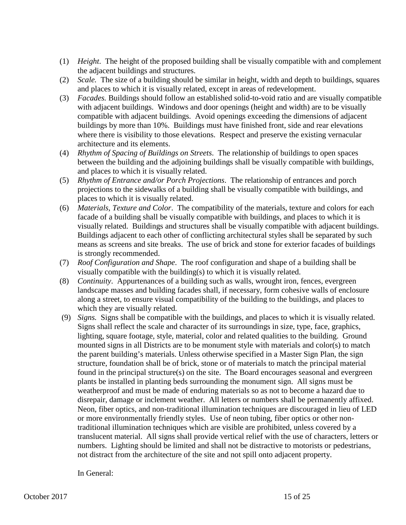- (1) *Height*. The height of the proposed building shall be visually compatible with and complement the adjacent buildings and structures.
- (2) *Scale.* The size of a building should be similar in height, width and depth to buildings, squares and places to which it is visually related, except in areas of redevelopment.
- (3) *Facades.* Buildings should follow an established solid-to-void ratio and are visually compatible with adjacent buildings. Windows and door openings (height and width) are to be visually compatible with adjacent buildings. Avoid openings exceeding the dimensions of adjacent buildings by more than 10%. Buildings must have finished front, side and rear elevations where there is visibility to those elevations. Respect and preserve the existing vernacular architecture and its elements.
- (4) *Rhythm of Spacing of Buildings on Streets*. The relationship of buildings to open spaces between the building and the adjoining buildings shall be visually compatible with buildings, and places to which it is visually related.
- (5) *Rhythm of Entrance and/or Porch Projections*. The relationship of entrances and porch projections to the sidewalks of a building shall be visually compatible with buildings, and places to which it is visually related.
- (6) *Materials, Texture and Color*. The compatibility of the materials, texture and colors for each facade of a building shall be visually compatible with buildings, and places to which it is visually related. Buildings and structures shall be visually compatible with adjacent buildings. Buildings adjacent to each other of conflicting architectural styles shall be separated by such means as screens and site breaks. The use of brick and stone for exterior facades of buildings is strongly recommended.
- (7) *Roof Configuration and Shape*. The roof configuration and shape of a building shall be visually compatible with the building(s) to which it is visually related.
- (8) *Continuity*. Appurtenances of a building such as walls, wrought iron, fences, evergreen landscape masses and building facades shall, if necessary, form cohesive walls of enclosure along a street, to ensure visual compatibility of the building to the buildings, and places to which they are visually related.
- (9) *Signs.* Signs shall be compatible with the buildings, and places to which it is visually related. Signs shall reflect the scale and character of its surroundings in size, type, face, graphics, lighting, square footage, style, material, color and related qualities to the building. Ground mounted signs in all Districts are to be monument style with materials and color(s) to match the parent building's materials. Unless otherwise specified in a Master Sign Plan, the sign structure, foundation shall be of brick, stone or of materials to match the principal material found in the principal structure(s) on the site. The Board encourages seasonal and evergreen plants be installed in planting beds surrounding the monument sign. All signs must be weatherproof and must be made of enduring materials so as not to become a hazard due to disrepair, damage or inclement weather. All letters or numbers shall be permanently affixed. Neon, fiber optics, and non-traditional illumination techniques are discouraged in lieu of LED or more environmentally friendly styles. Use of neon tubing, fiber optics or other nontraditional illumination techniques which are visible are prohibited, unless covered by a translucent material. All signs shall provide vertical relief with the use of characters, letters or numbers. Lighting should be limited and shall not be distractive to motorists or pedestrians, not distract from the architecture of the site and not spill onto adjacent property.

In General: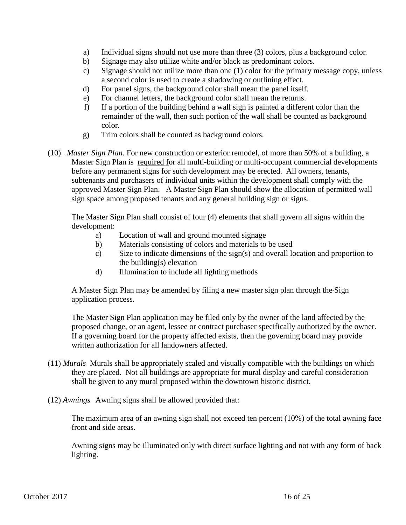- a) Individual signs should not use more than three (3) colors, plus a background color.
- b) Signage may also utilize white and/or black as predominant colors.
- c) Signage should not utilize more than one (1) color for the primary message copy, unless a second color is used to create a shadowing or outlining effect.
- d) For panel signs, the background color shall mean the panel itself.
- e) For channel letters, the background color shall mean the returns.
- f) If a portion of the building behind a wall sign is painted a different color than the remainder of the wall, then such portion of the wall shall be counted as background color.
- g) Trim colors shall be counted as background colors.
- (10) *Master Sign Plan.* For new construction or exterior remodel, of more than 50% of a building, a Master Sign Plan is required for all multi-building or multi-occupant commercial developments before any permanent signs for such development may be erected. All owners, tenants, subtenants and purchasers of individual units within the development shall comply with the approved Master Sign Plan. A Master Sign Plan should show the allocation of permitted wall sign space among proposed tenants and any general building sign or signs.

The Master Sign Plan shall consist of four (4) elements that shall govern all signs within the development:

- a) Location of wall and ground mounted signage
- b) Materials consisting of colors and materials to be used
- c) Size to indicate dimensions of the sign(s) and overall location and proportion to the building(s) elevation
- d) Illumination to include all lighting methods

A Master Sign Plan may be amended by filing a new master sign plan through the Sign application process.

The Master Sign Plan application may be filed only by the owner of the land affected by the proposed change, or an agent, lessee or contract purchaser specifically authorized by the owner. If a governing board for the property affected exists, then the governing board may provide written authorization for all landowners affected.

- (11) *Murals* Murals shall be appropriately scaled and visually compatible with the buildings on which they are placed. Not all buildings are appropriate for mural display and careful consideration shall be given to any mural proposed within the downtown historic district.
- (12) *Awnings* Awning signs shall be allowed provided that:

The maximum area of an awning sign shall not exceed ten percent (10%) of the total awning face front and side areas.

Awning signs may be illuminated only with direct surface lighting and not with any form of back lighting.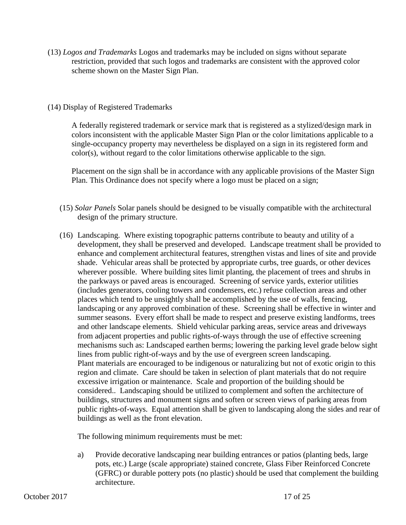(13) *Logos and Trademarks* Logos and trademarks may be included on signs without separate restriction, provided that such logos and trademarks are consistent with the approved color scheme shown on the Master Sign Plan.

#### (14) Display of Registered Trademarks

A federally registered trademark or service mark that is registered as a stylized/design mark in colors inconsistent with the applicable Master Sign Plan or the color limitations applicable to a single-occupancy property may nevertheless be displayed on a sign in its registered form and color(s), without regard to the color limitations otherwise applicable to the sign.

Placement on the sign shall be in accordance with any applicable provisions of the Master Sign Plan. This Ordinance does not specify where a logo must be placed on a sign;

- (15) *Solar Panels* Solar panels should be designed to be visually compatible with the architectural design of the primary structure.
- (16) Landscaping. Where existing topographic patterns contribute to beauty and utility of a development, they shall be preserved and developed. Landscape treatment shall be provided to enhance and complement architectural features, strengthen vistas and lines of site and provide shade. Vehicular areas shall be protected by appropriate curbs, tree guards, or other devices wherever possible. Where building sites limit planting, the placement of trees and shrubs in the parkways or paved areas is encouraged. Screening of service yards, exterior utilities (includes generators, cooling towers and condensers, etc.) refuse collection areas and other places which tend to be unsightly shall be accomplished by the use of walls, fencing, landscaping or any approved combination of these. Screening shall be effective in winter and summer seasons. Every effort shall be made to respect and preserve existing landforms, trees and other landscape elements. Shield vehicular parking areas, service areas and driveways from adjacent properties and public rights-of-ways through the use of effective screening mechanisms such as: Landscaped earthen berms; lowering the parking level grade below sight lines from public right-of-ways and by the use of evergreen screen landscaping. Plant materials are encouraged to be indigenous or naturalizing but not of exotic origin to this region and climate. Care should be taken in selection of plant materials that do not require excessive irrigation or maintenance. Scale and proportion of the building should be considered.. Landscaping should be utilized to complement and soften the architecture of buildings, structures and monument signs and soften or screen views of parking areas from public rights-of-ways. Equal attention shall be given to landscaping along the sides and rear of buildings as well as the front elevation.

The following minimum requirements must be met:

a) Provide decorative landscaping near building entrances or patios (planting beds, large pots, etc.) Large (scale appropriate) stained concrete, Glass Fiber Reinforced Concrete (GFRC) or durable pottery pots (no plastic) should be used that complement the building architecture.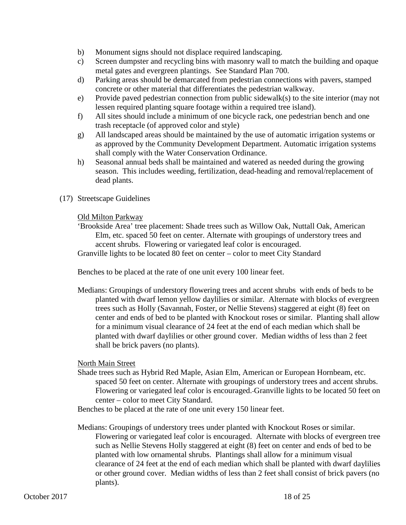- b) Monument signs should not displace required landscaping.
- c) Screen dumpster and recycling bins with masonry wall to match the building and opaque metal gates and evergreen plantings. See Standard Plan 700.
- d) Parking areas should be demarcated from pedestrian connections with pavers, stamped concrete or other material that differentiates the pedestrian walkway.
- e) Provide paved pedestrian connection from public sidewalk(s) to the site interior (may not lessen required planting square footage within a required tree island).
- f) All sites should include a minimum of one bicycle rack, one pedestrian bench and one trash receptacle (of approved color and style)
- g) All landscaped areas should be maintained by the use of automatic irrigation systems or as approved by the Community Development Department. Automatic irrigation systems shall comply with the Water Conservation Ordinance.
- h) Seasonal annual beds shall be maintained and watered as needed during the growing season. This includes weeding, fertilization, dead-heading and removal/replacement of dead plants.
- (17) Streetscape Guidelines

#### Old Milton Parkway

'Brookside Area' tree placement: Shade trees such as Willow Oak, Nuttall Oak, American Elm, etc. spaced 50 feet on center. Alternate with groupings of understory trees and accent shrubs. Flowering or variegated leaf color is encouraged. Granville lights to be located 80 feet on center – color to meet City Standard

Benches to be placed at the rate of one unit every 100 linear feet.

Medians: Groupings of understory flowering trees and accent shrubs with ends of beds to be planted with dwarf lemon yellow daylilies or similar. Alternate with blocks of evergreen trees such as Holly (Savannah, Foster, or Nellie Stevens) staggered at eight (8) feet on center and ends of bed to be planted with Knockout roses or similar. Planting shall allow for a minimum visual clearance of 24 feet at the end of each median which shall be planted with dwarf daylilies or other ground cover. Median widths of less than 2 feet shall be brick pavers (no plants).

#### North Main Street

Shade trees such as Hybrid Red Maple, Asian Elm, American or European Hornbeam, etc. spaced 50 feet on center. Alternate with groupings of understory trees and accent shrubs. Flowering or variegated leaf color is encouraged. Granville lights to be located 50 feet on center – color to meet City Standard.

Benches to be placed at the rate of one unit every 150 linear feet.

Medians: Groupings of understory trees under planted with Knockout Roses or similar. Flowering or variegated leaf color is encouraged. Alternate with blocks of evergreen tree such as Nellie Stevens Holly staggered at eight (8) feet on center and ends of bed to be planted with low ornamental shrubs. Plantings shall allow for a minimum visual clearance of 24 feet at the end of each median which shall be planted with dwarf daylilies or other ground cover. Median widths of less than 2 feet shall consist of brick pavers (no plants).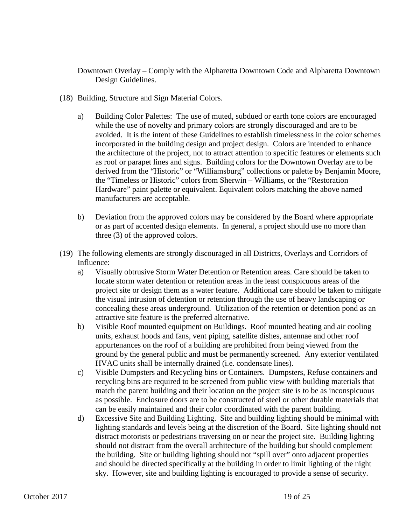Downtown Overlay – Comply with the Alpharetta Downtown Code and Alpharetta Downtown Design Guidelines.

- (18) Building, Structure and Sign Material Colors.
	- a) Building Color Palettes: The use of muted, subdued or earth tone colors are encouraged while the use of novelty and primary colors are strongly discouraged and are to be avoided. It is the intent of these Guidelines to establish timelessness in the color schemes incorporated in the building design and project design. Colors are intended to enhance the architecture of the project, not to attract attention to specific features or elements such as roof or parapet lines and signs. Building colors for the Downtown Overlay are to be derived from the "Historic" or "Williamsburg" collections or palette by Benjamin Moore, the "Timeless or Historic" colors from Sherwin – Williams, or the "Restoration Hardware" paint palette or equivalent. Equivalent colors matching the above named manufacturers are acceptable.
	- b) Deviation from the approved colors may be considered by the Board where appropriate or as part of accented design elements. In general, a project should use no more than three (3) of the approved colors.
- (19) The following elements are strongly discouraged in all Districts, Overlays and Corridors of Influence:
	- a) Visually obtrusive Storm Water Detention or Retention areas. Care should be taken to locate storm water detention or retention areas in the least conspicuous areas of the project site or design them as a water feature. Additional care should be taken to mitigate the visual intrusion of detention or retention through the use of heavy landscaping or concealing these areas underground. Utilization of the retention or detention pond as an attractive site feature is the preferred alternative.
	- b) Visible Roof mounted equipment on Buildings. Roof mounted heating and air cooling units, exhaust hoods and fans, vent piping, satellite dishes, antennae and other roof appurtenances on the roof of a building are prohibited from being viewed from the ground by the general public and must be permanently screened. Any exterior ventilated HVAC units shall be internally drained (i.e. condensate lines).
	- c) Visible Dumpsters and Recycling bins or Containers. Dumpsters, Refuse containers and recycling bins are required to be screened from public view with building materials that match the parent building and their location on the project site is to be as inconspicuous as possible. Enclosure doors are to be constructed of steel or other durable materials that can be easily maintained and their color coordinated with the parent building.
	- d) Excessive Site and Building Lighting. Site and building lighting should be minimal with lighting standards and levels being at the discretion of the Board. Site lighting should not distract motorists or pedestrians traversing on or near the project site. Building lighting should not distract from the overall architecture of the building but should complement the building. Site or building lighting should not "spill over" onto adjacent properties and should be directed specifically at the building in order to limit lighting of the night sky. However, site and building lighting is encouraged to provide a sense of security.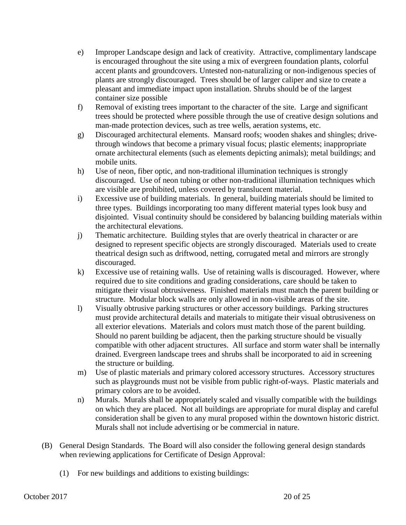- e) Improper Landscape design and lack of creativity. Attractive, complimentary landscape is encouraged throughout the site using a mix of evergreen foundation plants, colorful accent plants and groundcovers. Untested non-naturalizing or non-indigenous species of plants are strongly discouraged. Trees should be of larger caliper and size to create a pleasant and immediate impact upon installation. Shrubs should be of the largest container size possible
- f) Removal of existing trees important to the character of the site. Large and significant trees should be protected where possible through the use of creative design solutions and man-made protection devices, such as tree wells, aeration systems, etc.
- g) Discouraged architectural elements. Mansard roofs; wooden shakes and shingles; drivethrough windows that become a primary visual focus; plastic elements; inappropriate ornate architectural elements (such as elements depicting animals); metal buildings; and mobile units.
- h) Use of neon, fiber optic, and non-traditional illumination techniques is strongly discouraged. Use of neon tubing or other non-traditional illumination techniques which are visible are prohibited, unless covered by translucent material.
- i) Excessive use of building materials. In general, building materials should be limited to three types. Buildings incorporating too many different material types look busy and disjointed. Visual continuity should be considered by balancing building materials within the architectural elevations.
- j) Thematic architecture. Building styles that are overly theatrical in character or are designed to represent specific objects are strongly discouraged. Materials used to create theatrical design such as driftwood, netting, corrugated metal and mirrors are strongly discouraged.
- k) Excessive use of retaining walls. Use of retaining walls is discouraged. However, where required due to site conditions and grading considerations, care should be taken to mitigate their visual obtrusiveness. Finished materials must match the parent building or structure. Modular block walls are only allowed in non-visible areas of the site.
- l) Visually obtrusive parking structures or other accessory buildings. Parking structures must provide architectural details and materials to mitigate their visual obtrusiveness on all exterior elevations. Materials and colors must match those of the parent building. Should no parent building be adjacent, then the parking structure should be visually compatible with other adjacent structures. All surface and storm water shall be internally drained. Evergreen landscape trees and shrubs shall be incorporated to aid in screening the structure or building.
- m) Use of plastic materials and primary colored accessory structures. Accessory structures such as playgrounds must not be visible from public right-of-ways. Plastic materials and primary colors are to be avoided.
- n) Murals. Murals shall be appropriately scaled and visually compatible with the buildings on which they are placed. Not all buildings are appropriate for mural display and careful consideration shall be given to any mural proposed within the downtown historic district. Murals shall not include advertising or be commercial in nature.
- (B) General Design Standards. The Board will also consider the following general design standards when reviewing applications for Certificate of Design Approval:
	- (1) For new buildings and additions to existing buildings: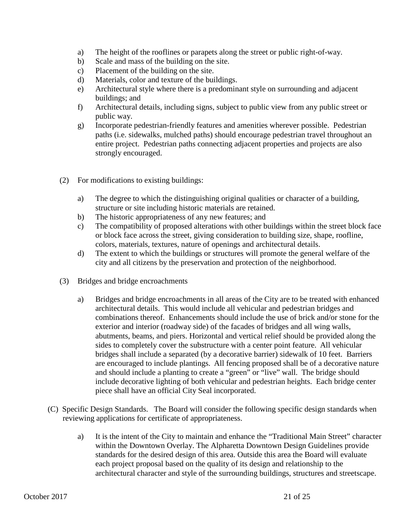- a) The height of the rooflines or parapets along the street or public right-of-way.
- b) Scale and mass of the building on the site.
- c) Placement of the building on the site.
- d) Materials, color and texture of the buildings.
- e) Architectural style where there is a predominant style on surrounding and adjacent buildings; and
- f) Architectural details, including signs, subject to public view from any public street or public way.
- g) Incorporate pedestrian-friendly features and amenities wherever possible. Pedestrian paths (i.e. sidewalks, mulched paths) should encourage pedestrian travel throughout an entire project. Pedestrian paths connecting adjacent properties and projects are also strongly encouraged.
- (2) For modifications to existing buildings:
	- a) The degree to which the distinguishing original qualities or character of a building, structure or site including historic materials are retained.
	- b) The historic appropriateness of any new features; and
	- c) The compatibility of proposed alterations with other buildings within the street block face or block face across the street, giving consideration to building size, shape, roofline, colors, materials, textures, nature of openings and architectural details.
	- d) The extent to which the buildings or structures will promote the general welfare of the city and all citizens by the preservation and protection of the neighborhood.
- (3) Bridges and bridge encroachments
	- a) Bridges and bridge encroachments in all areas of the City are to be treated with enhanced architectural details. This would include all vehicular and pedestrian bridges and combinations thereof. Enhancements should include the use of brick and/or stone for the exterior and interior (roadway side) of the facades of bridges and all wing walls, abutments, beams, and piers. Horizontal and vertical relief should be provided along the sides to completely cover the substructure with a center point feature. All vehicular bridges shall include a separated (by a decorative barrier) sidewalk of 10 feet. Barriers are encouraged to include plantings. All fencing proposed shall be of a decorative nature and should include a planting to create a "green" or "live" wall. The bridge should include decorative lighting of both vehicular and pedestrian heights. Each bridge center piece shall have an official City Seal incorporated.
- (C) Specific Design Standards. The Board will consider the following specific design standards when reviewing applications for certificate of appropriateness.
	- a) It is the intent of the City to maintain and enhance the "Traditional Main Street" character within the Downtown Overlay. The Alpharetta Downtown Design Guidelines provide standards for the desired design of this area. Outside this area the Board will evaluate each project proposal based on the quality of its design and relationship to the architectural character and style of the surrounding buildings, structures and streetscape.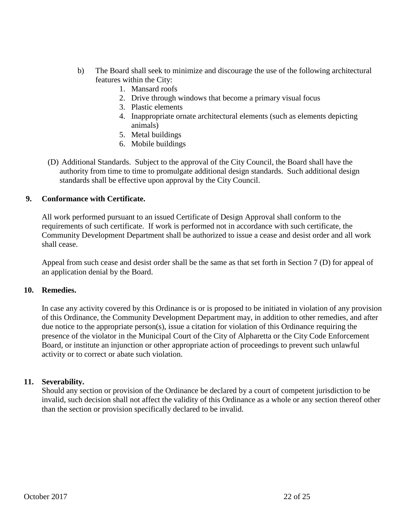- b) The Board shall seek to minimize and discourage the use of the following architectural features within the City:
	- 1. Mansard roofs
	- 2. Drive through windows that become a primary visual focus
	- 3. Plastic elements
	- 4. Inappropriate ornate architectural elements (such as elements depicting animals)
	- 5. Metal buildings
	- 6. Mobile buildings
- (D) Additional Standards. Subject to the approval of the City Council, the Board shall have the authority from time to time to promulgate additional design standards. Such additional design standards shall be effective upon approval by the City Council.

#### **9. Conformance with Certificate.**

All work performed pursuant to an issued Certificate of Design Approval shall conform to the requirements of such certificate. If work is performed not in accordance with such certificate, the Community Development Department shall be authorized to issue a cease and desist order and all work shall cease.

Appeal from such cease and desist order shall be the same as that set forth in Section 7 (D) for appeal of an application denial by the Board.

#### **10. Remedies.**

In case any activity covered by this Ordinance is or is proposed to be initiated in violation of any provision of this Ordinance, the Community Development Department may, in addition to other remedies, and after due notice to the appropriate person(s), issue a citation for violation of this Ordinance requiring the presence of the violator in the Municipal Court of the City of Alpharetta or the City Code Enforcement Board, or institute an injunction or other appropriate action of proceedings to prevent such unlawful activity or to correct or abate such violation.

#### **11. Severability.**

Should any section or provision of the Ordinance be declared by a court of competent jurisdiction to be invalid, such decision shall not affect the validity of this Ordinance as a whole or any section thereof other than the section or provision specifically declared to be invalid.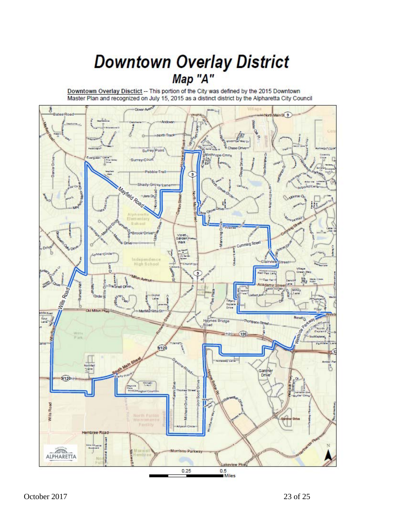### **Downtown Overlay District** Map "A"

Downtown Overlay Disctict -- This portion of the City was defined by the 2015 Downtown<br>Master Plan and recognized on July 15, 2015 as a distinct district by the Alpharetta City Council

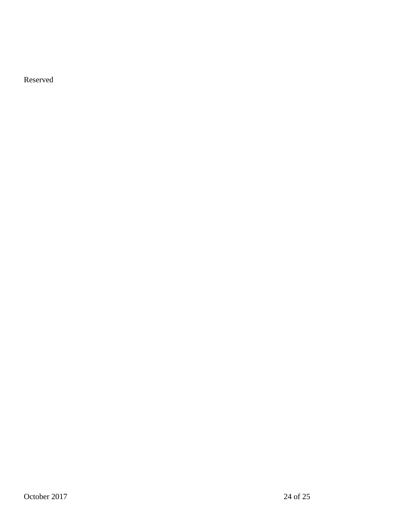Reserved